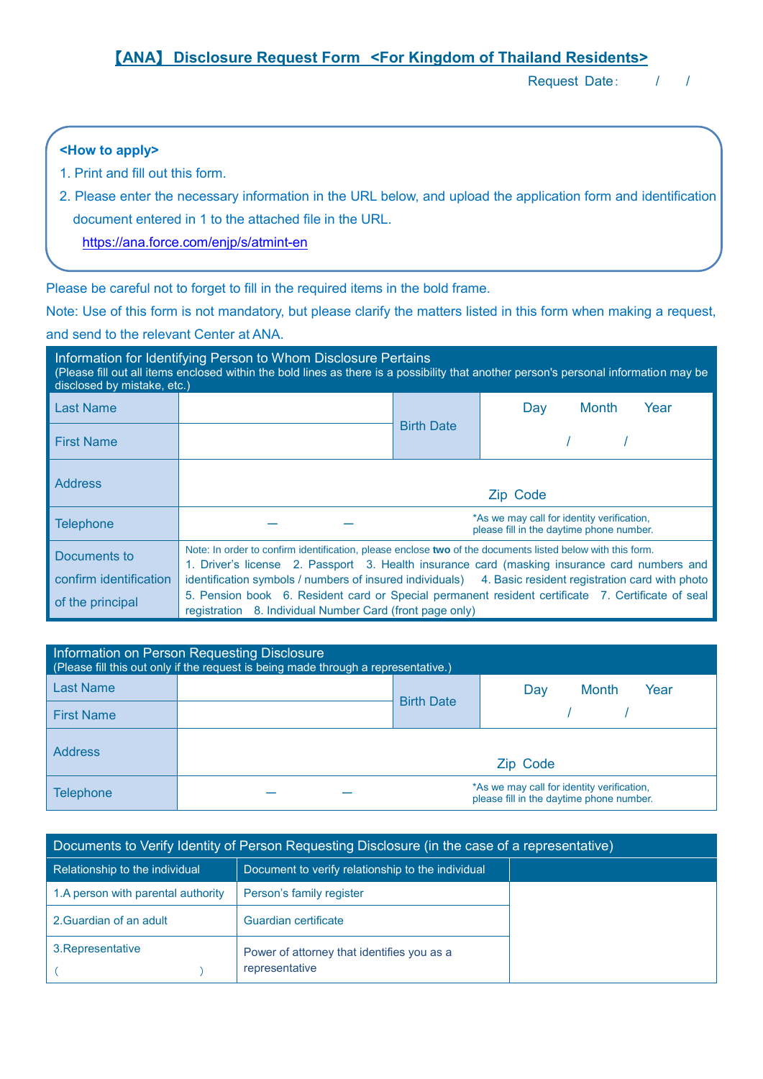# 【**ANA**】 **Disclosure Request Form <For Kingdom of Thailand Residents>**

Request Date: / /

### **<How to apply>**

- 1. Print and fill out this form.
- 2. Please enter the necessary information in the URL below, and upload the application form and identification document entered in 1 to the attached file in the URL.

<https://ana.force.com/enjp/s/atmint-en>

Please be careful not to forget to fill in the required items in the bold frame.

Note: Use of this form is not mandatory, but please clarify the matters listed in this form when making a request, and send to the relevant Center at ANA.

| disclosed by mistake, etc.) | Information for Identifying Person to Whom Disclosure Pertains                                             |                   | (Please fill out all items enclosed within the bold lines as there is a possibility that another person's personal information may be |
|-----------------------------|------------------------------------------------------------------------------------------------------------|-------------------|---------------------------------------------------------------------------------------------------------------------------------------|
| <b>Last Name</b>            |                                                                                                            |                   | <b>Month</b><br>Year<br>Day                                                                                                           |
| <b>First Name</b>           |                                                                                                            | <b>Birth Date</b> |                                                                                                                                       |
| <b>Address</b>              |                                                                                                            |                   | Zip Code                                                                                                                              |
| <b>Telephone</b>            |                                                                                                            |                   | *As we may call for identity verification,<br>please fill in the daytime phone number.                                                |
| Documents to                | Note: In order to confirm identification, please enclose two of the documents listed below with this form. |                   | 1. Driver's license 2. Passport 3. Health insurance card (masking insurance card numbers and                                          |
| confirm identification      |                                                                                                            |                   | identification symbols / numbers of insured individuals) 4. Basic resident registration card with photo                               |
| of the principal            | registration 8. Individual Number Card (front page only)                                                   |                   | 5. Pension book 6. Resident card or Special permanent resident certificate 7. Certificate of seal                                     |

| Information on Person Requesting Disclosure<br>(Please fill this out only if the request is being made through a representative.) |  |                   |                                                                                        |  |  |  |  |  |
|-----------------------------------------------------------------------------------------------------------------------------------|--|-------------------|----------------------------------------------------------------------------------------|--|--|--|--|--|
| <b>Last Name</b>                                                                                                                  |  | <b>Birth Date</b> | <b>Month</b><br>Year<br>Day                                                            |  |  |  |  |  |
| <b>First Name</b>                                                                                                                 |  |                   |                                                                                        |  |  |  |  |  |
| <b>Address</b>                                                                                                                    |  |                   | Zip Code                                                                               |  |  |  |  |  |
| Telephone                                                                                                                         |  |                   | *As we may call for identity verification,<br>please fill in the daytime phone number. |  |  |  |  |  |

| Documents to Verify Identity of Person Requesting Disclosure (in the case of a representative) |                                                              |  |  |  |  |  |
|------------------------------------------------------------------------------------------------|--------------------------------------------------------------|--|--|--|--|--|
| Relationship to the individual                                                                 | Document to verify relationship to the individual            |  |  |  |  |  |
| 1.A person with parental authority                                                             | Person's family register                                     |  |  |  |  |  |
| 2. Guardian of an adult                                                                        | Guardian certificate                                         |  |  |  |  |  |
| 3. Representative                                                                              | Power of attorney that identifies you as a<br>representative |  |  |  |  |  |